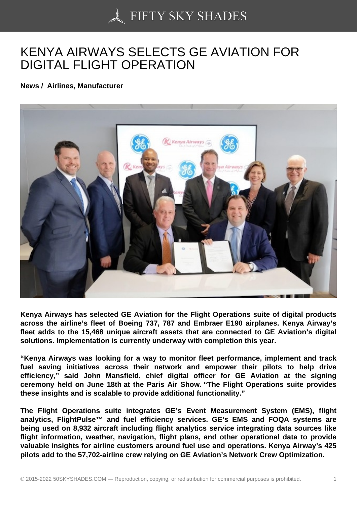## [KENYA AIRWAYS SEL](https://50skyshades.com)ECTS GE AVIATION FOR DIGITAL FLIGHT OPERATION

News / Airlines, Manufacturer

Kenya Airways has selected GE Aviation for the Flight Operations suite of digital products across the airline's fleet of Boeing 737, 787 and Embraer E190 airplanes. Kenya Airway's fleet adds to the 15,468 unique aircraft assets that are connected to GE Aviation's digital solutions. Implementation is currently underway with completion this year.

"Kenya Airways was looking for a way to monitor fleet performance, implement and track fuel saving initiatives across their network and empower their pilots to help drive efficiency," said John Mansfield, chief digital officer for GE Aviation at the signing ceremony held on June 18th at the Paris Air Show. "The Flight Operations suite provides these insights and is scalable to provide additional functionality."

The Flight Operations suite integrates GE's Event Measurement System (EMS), flight analytics, FlightPulse<sup>™</sup> and fuel efficiency services. GE's EMS and FOQA systems are being used on 8,932 aircraft including flight analytics service integrating data sources like flight information, weather, navigation, flight plans, and other operational data to provide valuable insights for airline customers around fuel use and operations. Kenya Airway's 425 pilots add to the 57,702-airline crew relying on GE Aviation's Network Crew Optimization.